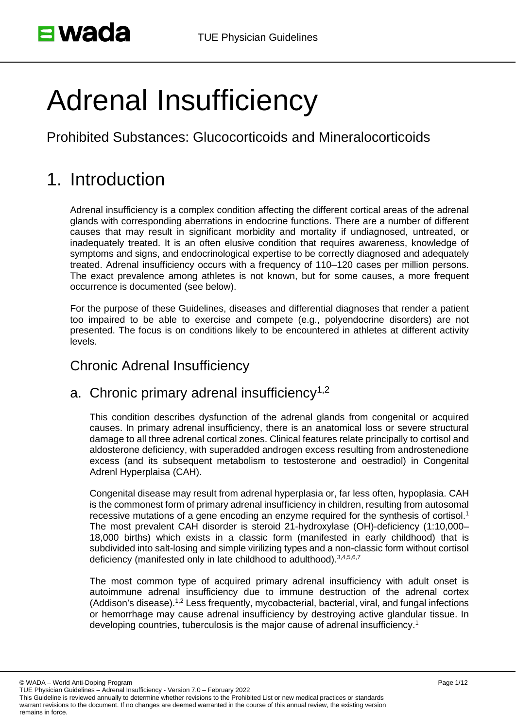# Adrenal Insufficiency

Prohibited Substances: Glucocorticoids and Mineralocorticoids

# 1. Introduction

Adrenal insufficiency is a complex condition affecting the different cortical areas of the adrenal glands with corresponding aberrations in endocrine functions. There are a number of different causes that may result in significant morbidity and mortality if undiagnosed, untreated, or inadequately treated. It is an often elusive condition that requires awareness, knowledge of symptoms and signs, and endocrinological expertise to be correctly diagnosed and adequately treated. Adrenal insufficiency occurs with a frequency of 110–120 cases per million persons. The exact prevalence among athletes is not known, but for some causes, a more frequent occurrence is documented (see below).

For the purpose of these Guidelines, diseases and differential diagnoses that render a patient too impaired to be able to exercise and compete (e.g., polyendocrine disorders) are not presented. The focus is on conditions likely to be encountered in athletes at different activity levels.

#### Chronic Adrenal Insufficiency

#### a. Chronic primary adrenal insufficiency<sup>1,2</sup>

This condition describes dysfunction of the adrenal glands from congenital or acquired causes. In primary adrenal insufficiency, there is an anatomical loss or severe structural damage to all three adrenal cortical zones. Clinical features relate principally to cortisol and aldosterone deficiency, with superadded androgen excess resulting from androstenedione excess (and its subsequent metabolism to testosterone and oestradiol) in Congenital Adrenl Hyperplaisa (CAH).

Congenital disease may result from adrenal hyperplasia or, far less often, hypoplasia. CAH is the commonest form of primary adrenal insufficiency in children, resulting from autosomal recessive mutations of a gene encoding an enzyme required for the synthesis of cortisol.<sup>1</sup> The most prevalent CAH disorder is steroid 21-hydroxylase (OH)-deficiency (1:10,000– 18,000 births) which exists in a classic form (manifested in early childhood) that is subdivided into salt-losing and simple virilizing types and a non-classic form without cortisol deficiency (manifested only in late childhood to adulthood). 3,4,5,6,7

The most common type of acquired primary adrenal insufficiency with adult onset is autoimmune adrenal insufficiency due to immune destruction of the adrenal cortex (Addison's disease).1,2 Less frequently, mycobacterial, bacterial, viral, and fungal infections or hemorrhage may cause adrenal insufficiency by destroying active glandular tissue. In developing countries, tuberculosis is the major cause of adrenal insufficiency.1

© WADA – World Anti-Doping Program

TUE Physician Guidelines – Adrenal Insufficiency - Version 7.0 – February 2022 This Guideline is reviewed annually to determine whether revisions to the Prohibited List or new medical practices or standards warrant revisions to the document. If no changes are deemed warranted in the course of this annual review, the existing version remains in force.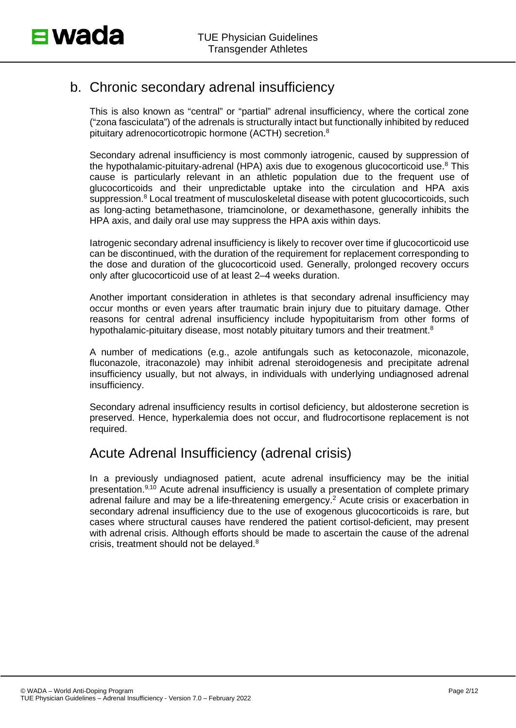# b. Chronic secondary adrenal insufficiency

This is also known as "central" or "partial" adrenal insufficiency, where the cortical zone ("zona fasciculata") of the adrenals is structurally intact but functionally inhibited by reduced pituitary adrenocorticotropic hormone (ACTH) secretion.8

Secondary adrenal insufficiency is most commonly iatrogenic, caused by suppression of the hypothalamic-pituitary-adrenal (HPA) axis due to exogenous glucocorticoid use.<sup>8</sup> This cause is particularly relevant in an athletic population due to the frequent use of glucocorticoids and their unpredictable uptake into the circulation and HPA axis suppression. <sup>8</sup> Local treatment of musculoskeletal disease with potent glucocorticoids, such as long-acting betamethasone, triamcinolone, or dexamethasone, generally inhibits the HPA axis, and daily oral use may suppress the HPA axis within days.

Iatrogenic secondary adrenal insufficiency is likely to recover over time if glucocorticoid use can be discontinued, with the duration of the requirement for replacement corresponding to the dose and duration of the glucocorticoid used. Generally, prolonged recovery occurs only after glucocorticoid use of at least 2–4 weeks duration.

Another important consideration in athletes is that secondary adrenal insufficiency may occur months or even years after traumatic brain injury due to pituitary damage. Other reasons for central adrenal insufficiency include hypopituitarism from other forms of hypothalamic-pituitary disease, most notably pituitary tumors and their treatment. $8$ 

A number of medications (e.g., azole antifungals such as ketoconazole, miconazole, fluconazole, itraconazole) may inhibit adrenal steroidogenesis and precipitate adrenal insufficiency usually, but not always, in individuals with underlying undiagnosed adrenal insufficiency.

Secondary adrenal insufficiency results in cortisol deficiency, but aldosterone secretion is preserved. Hence, hyperkalemia does not occur, and fludrocortisone replacement is not required.

# Acute Adrenal Insufficiency (adrenal crisis)

In a previously undiagnosed patient, acute adrenal insufficiency may be the initial presentation.9,10 Acute adrenal insufficiency is usually a presentation of complete primary adrenal failure and may be a life-threatening emergency.<sup>2</sup> Acute crisis or exacerbation in secondary adrenal insufficiency due to the use of exogenous glucocorticoids is rare, but cases where structural causes have rendered the patient cortisol-deficient, may present with adrenal crisis. Although efforts should be made to ascertain the cause of the adrenal crisis, treatment should not be delayed.8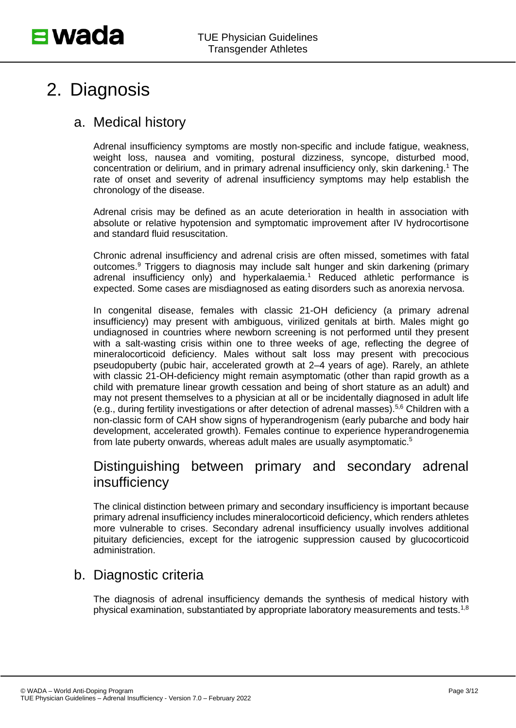# 2. Diagnosis

## a. Medical history

Adrenal insufficiency symptoms are mostly non-specific and include fatigue, weakness, weight loss, nausea and vomiting, postural dizziness, syncope, disturbed mood, concentration or delirium, and in primary adrenal insufficiency only, skin darkening.1 The rate of onset and severity of adrenal insufficiency symptoms may help establish the chronology of the disease.

Adrenal crisis may be defined as an acute deterioration in health in association with absolute or relative hypotension and symptomatic improvement after IV hydrocortisone and standard fluid resuscitation.

Chronic adrenal insufficiency and adrenal crisis are often missed, sometimes with fatal outcomes. <sup>9</sup> Triggers to diagnosis may include salt hunger and skin darkening (primary adrenal insufficiency only) and hyperkalaemia. <sup>1</sup> Reduced athletic performance is expected. Some cases are misdiagnosed as eating disorders such as anorexia nervosa.

In congenital disease, females with classic 21-OH deficiency (a primary adrenal insufficiency) may present with ambiguous, virilized genitals at birth. Males might go undiagnosed in countries where newborn screening is not performed until they present with a salt-wasting crisis within one to three weeks of age, reflecting the degree of mineralocorticoid deficiency. Males without salt loss may present with precocious pseudopuberty (pubic hair, accelerated growth at 2–4 years of age). Rarely, an athlete with classic 21-OH-deficiency might remain asymptomatic (other than rapid growth as a child with premature linear growth cessation and being of short stature as an adult) and may not present themselves to a physician at all or be incidentally diagnosed in adult life (e.g., during fertility investigations or after detection of adrenal masses). 5,6 Children with a non-classic form of CAH show signs of hyperandrogenism (early pubarche and body hair development, accelerated growth). Females continue to experience hyperandrogenemia from late puberty onwards, whereas adult males are usually asymptomatic. 5

## Distinguishing between primary and secondary adrenal insufficiency

The clinical distinction between primary and secondary insufficiency is important because primary adrenal insufficiency includes mineralocorticoid deficiency, which renders athletes more vulnerable to crises. Secondary adrenal insufficiency usually involves additional pituitary deficiencies, except for the iatrogenic suppression caused by glucocorticoid administration.

# b. Diagnostic criteria

The diagnosis of adrenal insufficiency demands the synthesis of medical history with physical examination, substantiated by appropriate laboratory measurements and tests.1,8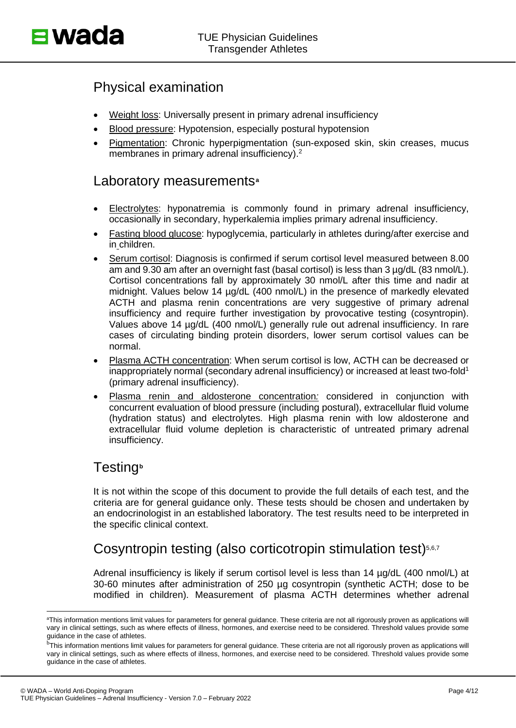## Physical examination

- Weight loss: Universally present in primary adrenal insufficiency
- Blood pressure: Hypotension, especially postural hypotension
- Pigmentation: Chronic hyperpigmentation (sun-exposed skin, skin creases, mucus membranes in primary adrenal insufficiency).<sup>2</sup>

#### Laboratory measurements**[a](#page-3-0)**

- Electrolytes: hyponatremia is commonly found in primary adrenal insufficiency, occasionally in secondary, hyperkalemia implies primary adrenal insufficiency.
- Fasting blood glucose: hypoglycemia, particularly in athletes during/after exercise and in children.
- Serum cortisol: Diagnosis is confirmed if serum cortisol level measured between 8.00 am and 9.30 am after an overnight fast (basal cortisol) is less than 3 µg/dL (83 nmol/L). Cortisol concentrations fall by approximately 30 nmol/L after this time and nadir at midnight. Values below 14  $\mu$ g/dL (400 nmol/L) in the presence of markedly elevated ACTH and plasma renin concentrations are very suggestive of primary adrenal insufficiency and require further investigation by provocative testing (cosyntropin). Values above 14 µg/dL (400 nmol/L) generally rule out adrenal insufficiency. In rare cases of circulating binding protein disorders, lower serum cortisol values can be normal.
- Plasma ACTH concentration: When serum cortisol is low, ACTH can be decreased or inappropriately normal (secondary adrenal insufficiency) or increased at least two-fold<sup>1</sup> (primary adrenal insufficiency).
- Plasma renin and aldosterone concentration*:* considered in conjunction with concurrent evaluation of blood pressure (including postural), extracellular fluid volume (hydration status) and electrolytes. High plasma renin with low aldosterone and extracellular fluid volume depletion is characteristic of untreated primary adrenal insufficiency.

#### Testing**[b](#page-3-1)**

It is not within the scope of this document to provide the full details of each test, and the criteria are for general guidance only. These tests should be chosen and undertaken by an endocrinologist in an established laboratory. The test results need to be interpreted in the specific clinical context.

# Cosyntropin testing (also corticotropin stimulation test)<sup>5,6,7</sup>

Adrenal insufficiency is likely if serum cortisol level is less than 14 µg/dL (400 nmol/L) at 30-60 minutes after administration of 250 µg cosyntropin (synthetic ACTH; dose to be modified in children). Measurement of plasma ACTH determines whether adrenal

<span id="page-3-0"></span>a This information mentions limit values for parameters for general guidance. These criteria are not all rigorously proven as applications will vary in clinical settings, such as where effects of illness, hormones, and exercise need to be considered. Threshold values provide some guidance in the case of athletes.

<span id="page-3-1"></span><sup>&</sup>lt;sup>b</sup>This information mentions limit values for parameters for general guidance. These criteria are not all rigorously proven as applications will vary in clinical settings, such as where effects of illness, hormones, and exercise need to be considered. Threshold values provide some guidance in the case of athletes.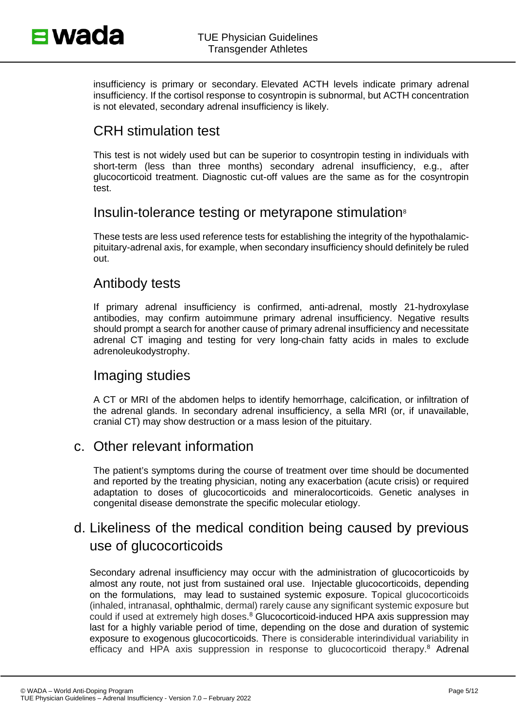insufficiency is primary or secondary. Elevated ACTH levels indicate primary adrenal insufficiency. If the cortisol response to cosyntropin is subnormal, but ACTH concentration is not elevated, secondary adrenal insufficiency is likely.

## CRH stimulation test

This test is not widely used but can be superior to cosyntropin testing in individuals with short-term (less than three months) secondary adrenal insufficiency, e.g., after glucocorticoid treatment. Diagnostic cut-off values are the same as for the cosyntropin test.

# Insulin-tolerance testing or metyrapone stimulation<sup>8</sup>

These tests are less used reference tests for establishing the integrity of the hypothalamicpituitary-adrenal axis, for example, when secondary insufficiency should definitely be ruled out.

#### Antibody tests

If primary adrenal insufficiency is confirmed, anti-adrenal, mostly 21-hydroxylase antibodies, may confirm autoimmune primary adrenal insufficiency. Negative results should prompt a search for another cause of primary adrenal insufficiency and necessitate adrenal CT imaging and testing for very long-chain fatty acids in males to exclude adrenoleukodystrophy.

#### Imaging studies

A CT or MRI of the abdomen helps to identify hemorrhage, calcification, or infiltration of the adrenal glands. In secondary adrenal insufficiency, a sella MRI (or, if unavailable, cranial CT) may show destruction or a mass lesion of the pituitary.

#### c. Other relevant information

The patient's symptoms during the course of treatment over time should be documented and reported by the treating physician, noting any exacerbation (acute crisis) or required adaptation to doses of glucocorticoids and mineralocorticoids. Genetic analyses in congenital disease demonstrate the specific molecular etiology.

# d. Likeliness of the medical condition being caused by previous use of glucocorticoids

Secondary adrenal insufficiency may occur with the administration of glucocorticoids by almost any route, not just from sustained oral use. Injectable glucocorticoids, depending on the formulations, may lead to sustained systemic exposure. Topical glucocorticoids (inhaled, intranasal, ophthalmic, dermal) rarely cause any significant systemic exposure but could if used at extremely high doses. <sup>8</sup> Glucocorticoid-induced HPA axis suppression may last for a highly variable period of time, depending on the dose and duration of systemic exposure to exogenous glucocorticoids. There is considerable interindividual variability in efficacy and HPA axis suppression in response to glucocorticoid therapy.<sup>8</sup> Adrenal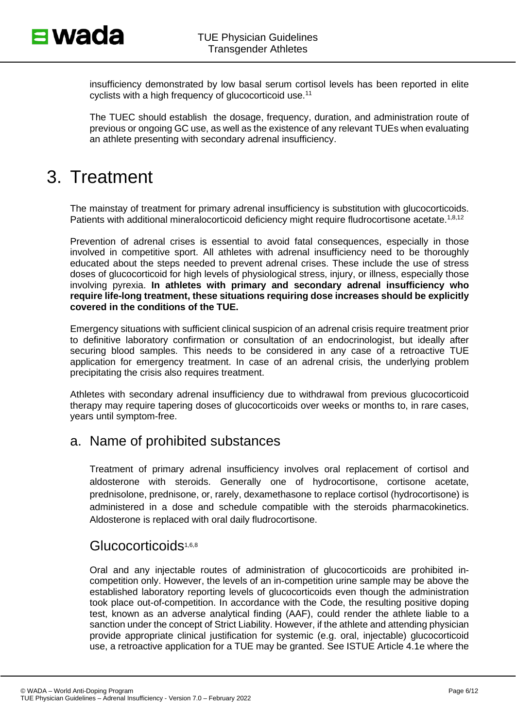insufficiency demonstrated by low basal serum cortisol levels has been reported in elite cyclists with a high frequency of glucocorticoid use.11

The TUEC should establish the dosage, frequency, duration, and administration route of previous or ongoing GC use, as well as the existence of any relevant TUEs when evaluating an athlete presenting with secondary adrenal insufficiency.

# 3. Treatment

The mainstay of treatment for primary adrenal insufficiency is substitution with glucocorticoids. Patients with additional mineralocorticoid deficiency might require fludrocortisone acetate.<sup>1,8,12</sup>

Prevention of adrenal crises is essential to avoid fatal consequences, especially in those involved in competitive sport. All athletes with adrenal insufficiency need to be thoroughly educated about the steps needed to prevent adrenal crises. These include the use of stress doses of glucocorticoid for high levels of physiological stress, injury, or illness, especially those involving pyrexia. **In athletes with primary and secondary adrenal insufficiency who require life-long treatment, these situations requiring dose increases should be explicitly covered in the conditions of the TUE.**

Emergency situations with sufficient clinical suspicion of an adrenal crisis require treatment prior to definitive laboratory confirmation or consultation of an endocrinologist, but ideally after securing blood samples. This needs to be considered in any case of a retroactive TUE application for emergency treatment. In case of an adrenal crisis, the underlying problem precipitating the crisis also requires treatment.

Athletes with secondary adrenal insufficiency due to withdrawal from previous glucocorticoid therapy may require tapering doses of glucocorticoids over weeks or months to, in rare cases, years until symptom-free.

#### a. Name of prohibited substances

Treatment of primary adrenal insufficiency involves oral replacement of cortisol and aldosterone with steroids. Generally one of hydrocortisone, cortisone acetate, prednisolone, prednisone, or, rarely, dexamethasone to replace cortisol (hydrocortisone) is administered in a dose and schedule compatible with the steroids pharmacokinetics. Aldosterone is replaced with oral daily fludrocortisone.

#### Glucocorticoids<sup>1,6,8</sup>

Oral and any injectable routes of administration of glucocorticoids are prohibited incompetition only. However, the levels of an in-competition urine sample may be above the established laboratory reporting levels of glucocorticoids even though the administration took place out-of-competition. In accordance with the Code, the resulting positive doping test, known as an adverse analytical finding (AAF), could render the athlete liable to a sanction under the concept of Strict Liability. However, if the athlete and attending physician provide appropriate clinical justification for systemic (e.g. oral, injectable) glucocorticoid use, a retroactive application for a TUE may be granted. See ISTUE Article 4.1e where the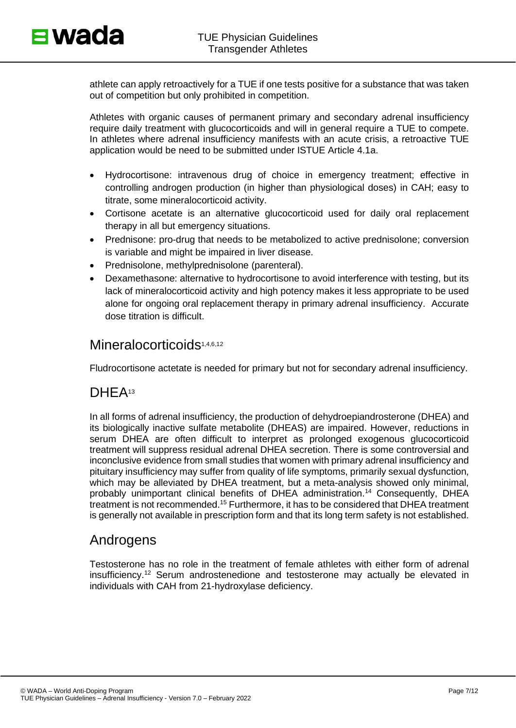athlete can apply retroactively for a TUE if one tests positive for a substance that was taken out of competition but only prohibited in competition.

Athletes with organic causes of permanent primary and secondary adrenal insufficiency require daily treatment with glucocorticoids and will in general require a TUE to compete. In athletes where adrenal insufficiency manifests with an acute crisis, a retroactive TUE application would be need to be submitted under ISTUE Article 4.1a.

- Hydrocortisone: intravenous drug of choice in emergency treatment; effective in controlling androgen production (in higher than physiological doses) in CAH; easy to titrate, some mineralocorticoid activity.
- Cortisone acetate is an alternative glucocorticoid used for daily oral replacement therapy in all but emergency situations.
- Prednisone: pro-drug that needs to be metabolized to active prednisolone; conversion is variable and might be impaired in liver disease.
- Prednisolone, methylprednisolone (parenteral).
- Dexamethasone: alternative to hydrocortisone to avoid interference with testing, but its lack of mineralocorticoid activity and high potency makes it less appropriate to be used alone for ongoing oral replacement therapy in primary adrenal insufficiency. Accurate dose titration is difficult.

### Mineralocorticoids<sup>1,4,6,12</sup>

Fludrocortisone actetate is needed for primary but not for secondary adrenal insufficiency.

## DHEA<sup>13</sup>

In all forms of adrenal insufficiency, the production of dehydroepiandrosterone (DHEA) and its biologically inactive sulfate metabolite (DHEAS) are impaired. However, reductions in serum DHEA are often difficult to interpret as prolonged exogenous glucocorticoid treatment will suppress residual adrenal DHEA secretion. There is some controversial and inconclusive evidence from small studies that women with primary adrenal insufficiency and pituitary insufficiency may suffer from quality of life symptoms, primarily sexual dysfunction, which may be alleviated by DHEA treatment, but a meta-analysis showed only minimal, probably unimportant clinical benefits of DHEA administration.<sup>14</sup> Consequently, DHEA treatment is not recommended.<sup>15</sup> Furthermore, it has to be considered that DHEA treatment is generally not available in prescription form and that its long term safety is not established.

#### Androgens

Testosterone has no role in the treatment of female athletes with either form of adrenal insufficiency.12 Serum androstenedione and testosterone may actually be elevated in individuals with CAH from 21-hydroxylase deficiency.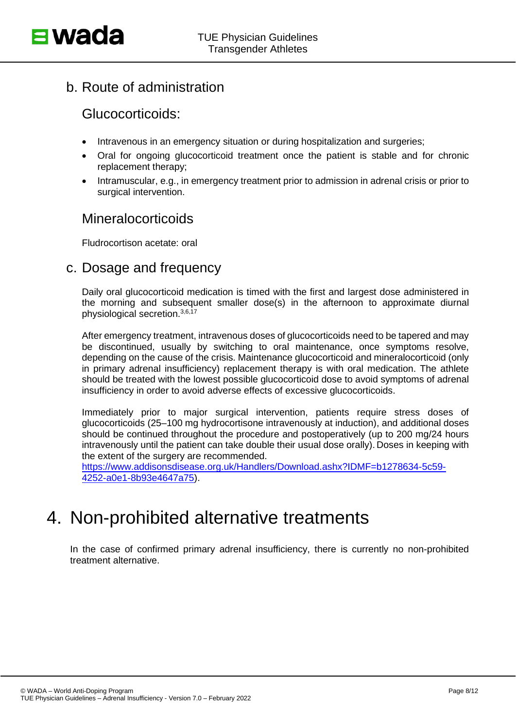b. Route of administration

#### Glucocorticoids:

- Intravenous in an emergency situation or during hospitalization and surgeries;
- Oral for ongoing glucocorticoid treatment once the patient is stable and for chronic replacement therapy;
- Intramuscular, e.g., in emergency treatment prior to admission in adrenal crisis or prior to surgical intervention.

## **Mineralocorticoids**

Fludrocortison acetate: oral

#### c. Dosage and frequency

Daily oral glucocorticoid medication is timed with the first and largest dose administered in the morning and subsequent smaller dose(s) in the afternoon to approximate diurnal physiological secretion.3,6,17

After emergency treatment, intravenous doses of glucocorticoids need to be tapered and may be discontinued, usually by switching to oral maintenance, once symptoms resolve, depending on the cause of the crisis. Maintenance glucocorticoid and mineralocorticoid (only in primary adrenal insufficiency) replacement therapy is with oral medication. The athlete should be treated with the lowest possible glucocorticoid dose to avoid symptoms of adrenal insufficiency in order to avoid adverse effects of excessive glucocorticoids.

Immediately prior to major surgical intervention, patients require stress doses of glucocorticoids (25–100 mg hydrocortisone intravenously at induction), and additional doses should be continued throughout the procedure and postoperatively (up to 200 mg/24 hours intravenously until the patient can take double their usual dose orally). Doses in keeping with the extent of the surgery are recommended.

[https://www.addisonsdisease.org.uk/Handlers/Download.ashx?IDMF=b1278634-5c59-](https://www.addisonsdisease.org.uk/Handlers/Download.ashx?IDMF=b1278634-5c59-4252-a0e1-8b93e4647a75) [4252-a0e1-8b93e4647a75\)](https://www.addisonsdisease.org.uk/Handlers/Download.ashx?IDMF=b1278634-5c59-4252-a0e1-8b93e4647a75).

# 4. Non-prohibited alternative treatments

In the case of confirmed primary adrenal insufficiency, there is currently no non-prohibited treatment alternative.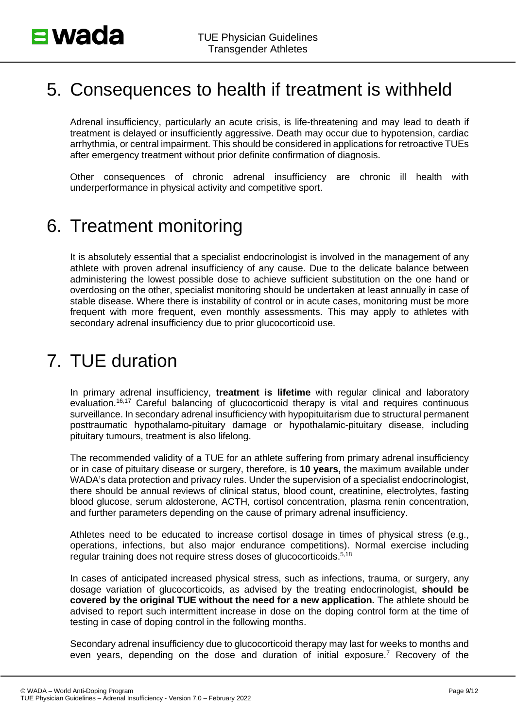# 5. Consequences to health if treatment is withheld

Adrenal insufficiency, particularly an acute crisis, is life-threatening and may lead to death if treatment is delayed or insufficiently aggressive. Death may occur due to hypotension, cardiac arrhythmia, or central impairment. This should be considered in applications for retroactive TUEs after emergency treatment without prior definite confirmation of diagnosis.

Other consequences of chronic adrenal insufficiency are chronic ill health with underperformance in physical activity and competitive sport.

# 6. Treatment monitoring

It is absolutely essential that a specialist endocrinologist is involved in the management of any athlete with proven adrenal insufficiency of any cause. Due to the delicate balance between administering the lowest possible dose to achieve sufficient substitution on the one hand or overdosing on the other, specialist monitoring should be undertaken at least annually in case of stable disease. Where there is instability of control or in acute cases, monitoring must be more frequent with more frequent, even monthly assessments. This may apply to athletes with secondary adrenal insufficiency due to prior glucocorticoid use.

# 7. TUE duration

In primary adrenal insufficiency, **treatment is lifetime** with regular clinical and laboratory evaluation.<sup>16,17</sup> Careful balancing of glucocorticoid therapy is vital and requires continuous surveillance. In secondary adrenal insufficiency with hypopituitarism due to structural permanent posttraumatic hypothalamo-pituitary damage or hypothalamic-pituitary disease, including pituitary tumours, treatment is also lifelong.

The recommended validity of a TUE for an athlete suffering from primary adrenal insufficiency or in case of pituitary disease or surgery, therefore, is **10 years,** the maximum available under WADA's data protection and privacy rules. Under the supervision of a specialist endocrinologist, there should be annual reviews of clinical status, blood count, creatinine, electrolytes, fasting blood glucose, serum aldosterone, ACTH, cortisol concentration, plasma renin concentration, and further parameters depending on the cause of primary adrenal insufficiency.

Athletes need to be educated to increase cortisol dosage in times of physical stress (e.g., operations, infections, but also major endurance competitions). Normal exercise including regular training does not require stress doses of glucocorticoids.<sup>5,18</sup>

In cases of anticipated increased physical stress, such as infections, trauma, or surgery, any dosage variation of glucocorticoids, as advised by the treating endocrinologist, **should be covered by the original TUE without the need for a new application.** The athlete should be advised to report such intermittent increase in dose on the doping control form at the time of testing in case of doping control in the following months.

Secondary adrenal insufficiency due to glucocorticoid therapy may last for weeks to months and even years, depending on the dose and duration of initial exposure.7 Recovery of the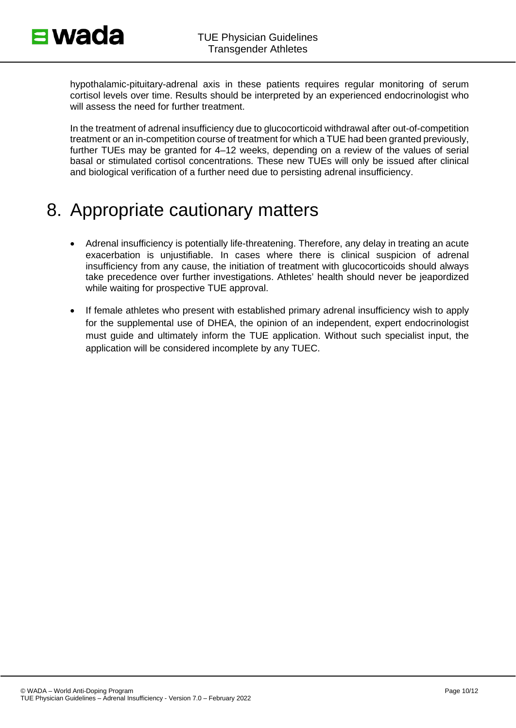hypothalamic-pituitary-adrenal axis in these patients requires regular monitoring of serum cortisol levels over time. Results should be interpreted by an experienced endocrinologist who will assess the need for further treatment.

In the treatment of adrenal insufficiency due to glucocorticoid withdrawal after out-of-competition treatment or an in-competition course of treatment for which a TUE had been granted previously, further TUEs may be granted for 4–12 weeks, depending on a review of the values of serial basal or stimulated cortisol concentrations. These new TUEs will only be issued after clinical and biological verification of a further need due to persisting adrenal insufficiency.

# 8. Appropriate cautionary matters

- Adrenal insufficiency is potentially life-threatening. Therefore, any delay in treating an acute exacerbation is unjustifiable. In cases where there is clinical suspicion of adrenal insufficiency from any cause, the initiation of treatment with glucocorticoids should always take precedence over further investigations. Athletes' health should never be jeapordized while waiting for prospective TUE approval.
- If female athletes who present with established primary adrenal insufficiency wish to apply for the supplemental use of DHEA, the opinion of an independent, expert endocrinologist must guide and ultimately inform the TUE application. Without such specialist input, the application will be considered incomplete by any TUEC.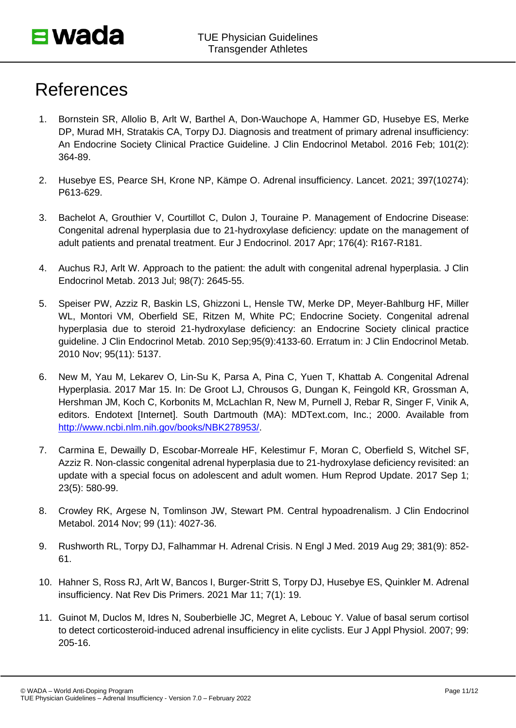# References

- 1. Bornstein SR, Allolio B, Arlt W, Barthel A, Don-Wauchope A, Hammer GD, Husebye ES, Merke DP, Murad MH, Stratakis CA, Torpy DJ. Diagnosis and treatment of primary adrenal insufficiency: An Endocrine Society Clinical Practice Guideline. J Clin Endocrinol Metabol. 2016 Feb; 101(2): 364-89.
- 2. Husebye ES, Pearce SH, Krone NP, Kämpe O. Adrenal insufficiency. Lancet. 2021; 397(10274): P613-629.
- 3. Bachelot A, Grouthier V, Courtillot C, Dulon J, Touraine P. Management of Endocrine Disease: Congenital adrenal hyperplasia due to 21-hydroxylase deficiency: update on the management of adult patients and prenatal treatment. Eur J Endocrinol. 2017 Apr; 176(4): R167-R181.
- 4. Auchus RJ, Arlt W. Approach to the patient: the adult with congenital adrenal hyperplasia. J Clin Endocrinol Metab. 2013 Jul; 98(7): 2645-55.
- 5. Speiser PW, Azziz R, Baskin LS, Ghizzoni L, Hensle TW, Merke DP, Meyer-Bahlburg HF, Miller WL, Montori VM, Oberfield SE, Ritzen M, White PC; Endocrine Society. Congenital adrenal hyperplasia due to steroid 21-hydroxylase deficiency: an Endocrine Society clinical practice guideline. J Clin Endocrinol Metab. 2010 Sep;95(9):4133-60. Erratum in: J Clin Endocrinol Metab. 2010 Nov; 95(11): 5137.
- 6. New M, Yau M, Lekarev O, Lin-Su K, Parsa A, Pina C, Yuen T, Khattab A. Congenital Adrenal Hyperplasia. 2017 Mar 15. In: De Groot LJ, Chrousos G, Dungan K, Feingold KR, Grossman A, Hershman JM, Koch C, Korbonits M, McLachlan R, New M, Purnell J, Rebar R, Singer F, Vinik A, editors. Endotext [Internet]. South Dartmouth (MA): MDText.com, Inc.; 2000. Available from [http://www.ncbi.nlm.nih.gov/books/NBK278953/.](http://www.ncbi.nlm.nih.gov/books/NBK278953/)
- 7. Carmina E, Dewailly D, Escobar-Morreale HF, Kelestimur F, Moran C, Oberfield S, Witchel SF, Azziz R. Non-classic congenital adrenal hyperplasia due to 21-hydroxylase deficiency revisited: an update with a special focus on adolescent and adult women. Hum Reprod Update. 2017 Sep 1; 23(5): 580-99.
- 8. Crowley RK, Argese N, Tomlinson JW, Stewart PM. Central hypoadrenalism. J Clin Endocrinol Metabol. 2014 Nov; 99 (11): 4027-36.
- 9. Rushworth RL, Torpy DJ, Falhammar H. Adrenal Crisis. N Engl J Med. 2019 Aug 29; 381(9): 852- 61.
- 10. Hahner S, Ross RJ, Arlt W, Bancos I, Burger-Stritt S, Torpy DJ, Husebye ES, Quinkler M. Adrenal insufficiency. Nat Rev Dis Primers. 2021 Mar 11; 7(1): 19.
- 11. Guinot M, Duclos M, Idres N, Souberbielle JC, Megret A, Lebouc Y. Value of basal serum cortisol to detect corticosteroid-induced adrenal insufficiency in elite cyclists. Eur J Appl Physiol. 2007; 99: 205-16.